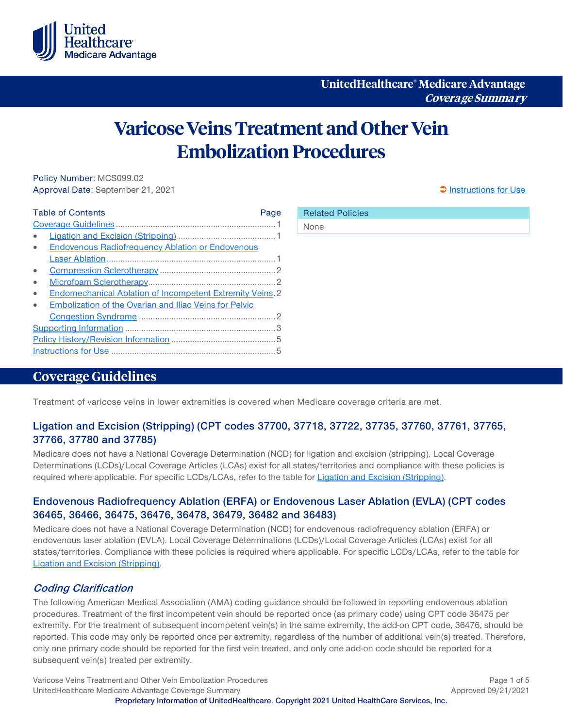

# **Varicose Veins Treatment and Other Vein Embolization Procedures**

Policy Number: MCS099.02 Approval Date: September 21, 2021 [Instructions for Use](#page-4-0) and Approval Date: September 21, 2021

| <b>Table of Contents</b><br>Page                          |  |
|-----------------------------------------------------------|--|
|                                                           |  |
|                                                           |  |
| <b>Endovenous Radiofrequency Ablation or Endovenous</b>   |  |
|                                                           |  |
|                                                           |  |
|                                                           |  |
| Endomechanical Ablation of Incompetent Extremity Veins. 2 |  |
| Embolization of the Ovarian and Iliac Veins for Pelvic    |  |
|                                                           |  |
|                                                           |  |
|                                                           |  |
|                                                           |  |

## <span id="page-0-0"></span>**Coverage Guidelines**

Treatment of varicose veins in lower extremities is covered when Medicare coverage criteria are met.

#### <span id="page-0-1"></span>**Ligation and Excision (Stripping) (CPT codes 37700, 37718, 37722, 37735, 37760, 37761, 37765, 37766, 37780 and 37785)**

Medicare does not have a National Coverage Determination (NCD) for ligation and excision (stripping). Local Coverage Determinations (LCDs)/Local Coverage Articles (LCAs) exist for all states/territories and compliance with these policies is required where applicable. For specific LCDs/LCAs, refer to the table for [Ligation and Excision \(Stripping\).](#page-2-1)

#### <span id="page-0-2"></span>**Endovenous Radiofrequency Ablation (ERFA) or Endovenous Laser Ablation (EVLA) (CPT codes 36465, 36466, 36475, 36476, 36478, 36479, 36482 and 36483)**

Medicare does not have a National Coverage Determination (NCD) for endovenous radiofrequency ablation (ERFA) or endovenous laser ablation (EVLA). Local Coverage Determinations (LCDs)/Local Coverage Articles (LCAs) exist for all states/territories. Compliance with these policies is required where applicable. For specific LCDs/LCAs, refer to the table for [Ligation and Excision \(Stripping\).](#page-2-1)

#### **Coding Clarification**

The following American Medical Association (AMA) coding guidance should be followed in reporting endovenous ablation procedures. Treatment of the first incompetent vein should be reported once (as primary code) using CPT code 36475 per extremity. For the treatment of subsequent incompetent vein(s) in the same extremity, the add-on CPT code, 36476, should be reported. This code may only be reported once per extremity, regardless of the number of additional vein(s) treated. Therefore, only one primary code should be reported for the first vein treated, and only one add-on code should be reported for a subsequent vein(s) treated per extremity.

Varicose Veins Treatment and Other Vein Embolization Procedures **Page 1 of 5** and 2008 and 2011 and 2011 and 201 UnitedHealthcare Medicare Advantage Coverage Summary Approved 09/21/2021 **Proprietary Information of UnitedHealthcare. Copyright 2021 United HealthCare Services, Inc.**

Related Policies

None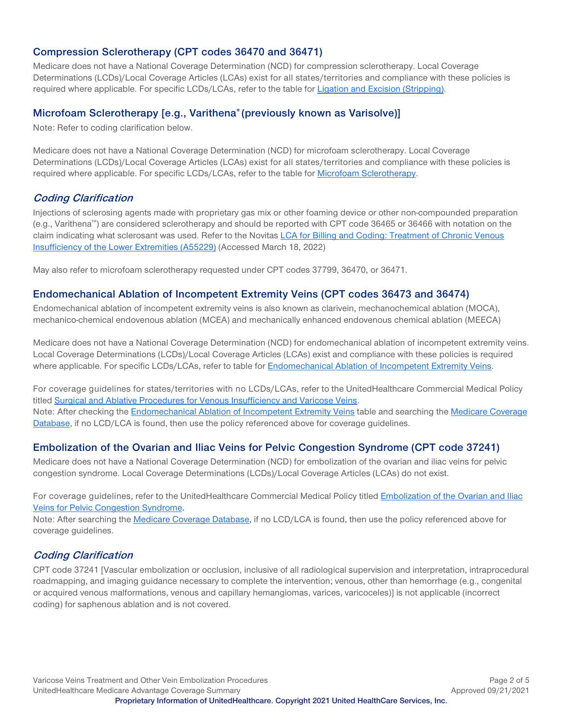#### <span id="page-1-0"></span>**Compression Sclerotherapy (CPT codes 36470 and 36471)**

Medicare does not have a National Coverage Determination (NCD) for compression sclerotherapy. Local Coverage Determinations (LCDs)/Local Coverage Articles (LCAs) exist for all states/territories and compliance with these policies is required where applicable. For specific LCDs/LCAs, refer to the table for [Ligation and Excision \(Stripping\).](#page-2-1)

#### <span id="page-1-1"></span>**Microfoam Sclerotherapy [e.g., Varithena® (previously known as Varisolve)]**

Note: Refer to coding clarification below.

Medicare does not have a National Coverage Determination (NCD) for microfoam sclerotherapy. Local Coverage Determinations (LCDs)/Local Coverage Articles (LCAs) exist for all states/territories and compliance with these policies is required where applicable. For specific LCDs/LCAs, refer to the table for [Microfoam Sclerotherapy.](#page-2-2)

#### **Coding Clarification**

Injections of sclerosing agents made with proprietary gas mix or other foaming device or other non-compounded preparation (e.g., Varithena™) are considered sclerotherapy and should be reported with CPT code 36465 or 36466 with notation on the claim indicating what sclerosant was used. Refer to the Novitas [LCA for Billing and Coding: Treatment of Chronic Venous](https://www.cms.gov/medicare-coverage-database/view/article.aspx?articleid=55229&ver=37&Date=&DocID=A55229&bc=hAAAABAAEAAA&=)  [Insufficiency of the Lower Extremities \(A55229\)](https://www.cms.gov/medicare-coverage-database/view/article.aspx?articleid=55229&ver=37&Date=&DocID=A55229&bc=hAAAABAAEAAA&=) (Accessed March 18, 2022)

May also refer to microfoam sclerotherapy requested under CPT codes 37799, 36470, or 36471.

#### <span id="page-1-2"></span>**Endomechanical Ablation of Incompetent Extremity Veins (CPT codes 36473 and 36474)**

Endomechanical ablation of incompetent extremity veins is also known as clarivein, mechanochemical ablation (MOCA), mechanico-chemical endovenous ablation (MCEA) and mechanically enhanced endovenous chemical ablation (MEECA)

Medicare does not have a National Coverage Determination (NCD) for endomechanical ablation of incompetent extremity veins. Local Coverage Determinations (LCDs)/Local Coverage Articles (LCAs) exist and compliance with these policies is required where applicable. For specific LCDs/LCAs, refer to table for [Endomechanical Ablation of Incompetent Extremity Veins.](#page-3-0)

For coverage guidelines for states/territories with no LCDs/LCAs, refer to the UnitedHealthcare Commercial Medical Policy titled [Surgical and Ablative Procedures for Venous Insufficiency and Varicose Veins.](https://www.uhcprovider.com/content/dam/provider/docs/public/policies/comm-medical-drug/surgical-ablative-procedures-venous-insufficiency-varicose-veins.pdf) Note: After checking th[e Endomechanical Ablation of Incompetent Extremity Veins](#page-3-0) table and searching the Medicare Coverage [Database,](http://www.cms.gov/medicare-coverage-database/overview-and-quick-search.aspx) if no LCD/LCA is found, then use the policy referenced above for coverage guidelines.

#### <span id="page-1-3"></span>**Embolization of the Ovarian and Iliac Veins for Pelvic Congestion Syndrome (CPT code 37241)**

Medicare does not have a National Coverage Determination (NCD) for embolization of the ovarian and iliac veins for pelvic congestion syndrome. Local Coverage Determinations (LCDs)/Local Coverage Articles (LCAs) do not exist.

For coverage guidelines, refer to the UnitedHealthcare Commercial Medical Policy titled Embolization of the Ovarian and Iliac [Veins for Pelvic Congestion Syndrome.](https://www.uhcprovider.com/content/dam/provider/docs/public/policies/comm-medical-drug/embolization-ovarian-iliac-veins-pelvic-congestion-syndrome.pdf) 

Note: After searching the [Medicare Coverage Database,](http://www.cms.gov/medicare-coverage-database/overview-and-quick-search.aspx) if no LCD/LCA is found, then use the policy referenced above for coverage guidelines.

#### **Coding Clarification**

CPT code 37241 [Vascular embolization or occlusion, inclusive of all radiological supervision and interpretation, intraprocedural roadmapping, and imaging guidance necessary to complete the intervention; venous, other than hemorrhage (e.g., congenital or acquired venous malformations, venous and capillary hemangiomas, varices, varicoceles)] is not applicable (incorrect coding) for saphenous ablation and is not covered.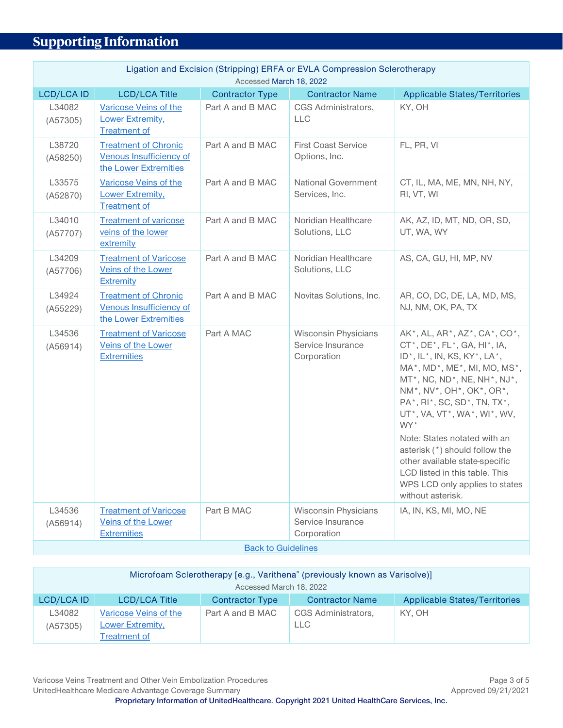# <span id="page-2-0"></span>**Supporting Information**

<span id="page-2-1"></span>

| Ligation and Excision (Stripping) ERFA or EVLA Compression Sclerotherapy<br>Accessed March 18, 2022 |                                                                                 |                           |                                                                 |                                                                                                                                                                                                                                                                                                                                                                                                                                                                                                                                   |
|-----------------------------------------------------------------------------------------------------|---------------------------------------------------------------------------------|---------------------------|-----------------------------------------------------------------|-----------------------------------------------------------------------------------------------------------------------------------------------------------------------------------------------------------------------------------------------------------------------------------------------------------------------------------------------------------------------------------------------------------------------------------------------------------------------------------------------------------------------------------|
| <b>LCD/LCA ID</b>                                                                                   | <b>LCD/LCA Title</b>                                                            | <b>Contractor Type</b>    | <b>Contractor Name</b>                                          | <b>Applicable States/Territories</b>                                                                                                                                                                                                                                                                                                                                                                                                                                                                                              |
| L34082<br>(A57305)                                                                                  | Varicose Veins of the<br>Lower Extremity,<br><b>Treatment of</b>                | Part A and B MAC          | CGS Administrators,<br><b>LLC</b>                               | KY, OH                                                                                                                                                                                                                                                                                                                                                                                                                                                                                                                            |
| L38720<br>(A58250)                                                                                  | <b>Treatment of Chronic</b><br>Venous Insufficiency of<br>the Lower Extremities | Part A and B MAC          | <b>First Coast Service</b><br>Options, Inc.                     | FL, PR, VI                                                                                                                                                                                                                                                                                                                                                                                                                                                                                                                        |
| L33575<br>(A52870)                                                                                  | Varicose Veins of the<br>Lower Extremity,<br><b>Treatment of</b>                | Part A and B MAC          | <b>National Government</b><br>Services, Inc.                    | CT, IL, MA, ME, MN, NH, NY,<br>RI, VT, WI                                                                                                                                                                                                                                                                                                                                                                                                                                                                                         |
| L34010<br>(A57707)                                                                                  | <b>Treatment of varicose</b><br>veins of the lower<br>extremity                 | Part A and B MAC          | Noridian Healthcare<br>Solutions, LLC                           | AK, AZ, ID, MT, ND, OR, SD,<br>UT, WA, WY                                                                                                                                                                                                                                                                                                                                                                                                                                                                                         |
| L34209<br>(A57706)                                                                                  | <b>Treatment of Varicose</b><br>Veins of the Lower<br>Extremity                 | Part A and B MAC          | Noridian Healthcare<br>Solutions, LLC                           | AS, CA, GU, HI, MP, NV                                                                                                                                                                                                                                                                                                                                                                                                                                                                                                            |
| L34924<br>(A55229)                                                                                  | <b>Treatment of Chronic</b><br>Venous Insufficiency of<br>the Lower Extremities | Part A and B MAC          | Novitas Solutions, Inc.                                         | AR, CO, DC, DE, LA, MD, MS,<br>NJ, NM, OK, PA, TX                                                                                                                                                                                                                                                                                                                                                                                                                                                                                 |
| L34536<br>(A56914)                                                                                  | <b>Treatment of Varicose</b><br>Veins of the Lower<br><b>Extremities</b>        | Part A MAC                | <b>Wisconsin Physicians</b><br>Service Insurance<br>Corporation | AK*, AL, AR*, AZ*, CA*, CO*,<br>$CT^*$ , $DE^*$ , $FL^*$ , $GA$ , $HI^*$ , $IA$ ,<br>$ID^*$ , $IL^*$ , IN, KS, KY <sup>*</sup> , LA <sup>*</sup> ,<br>MA*, MD*, ME*, MI, MO, MS*,<br>$MT^*$ , NC, ND $^*$ , NE, NH $^*$ , NJ $^*$ ,<br>NM*, NV*, OH*, OK*, OR*,<br>PA*, RI*, SC, SD*, TN, TX*,<br>UT*, VA, VT*, WA*, WI*, WV,<br>WY*<br>Note: States notated with an<br>asterisk (*) should follow the<br>other available state-specific<br>LCD listed in this table. This<br>WPS LCD only applies to states<br>without asterisk. |
| L34536<br>(A56914)                                                                                  | <b>Treatment of Varicose</b><br>Veins of the Lower                              | Part B MAC                | <b>Wisconsin Physicians</b><br>Service Insurance                | IA, IN, KS, MI, MO, NE                                                                                                                                                                                                                                                                                                                                                                                                                                                                                                            |
|                                                                                                     | <b>Extremities</b>                                                              | <b>Back to Guidelines</b> | Corporation                                                     |                                                                                                                                                                                                                                                                                                                                                                                                                                                                                                                                   |

<span id="page-2-2"></span>

| Microfoam Sclerotherapy [e.g., Varithena® (previously known as Varisolve)]<br>Accessed March 18, 2022 |                                                  |                        |                                   |                                      |
|-------------------------------------------------------------------------------------------------------|--------------------------------------------------|------------------------|-----------------------------------|--------------------------------------|
| LCD/LCA ID                                                                                            | <b>LCD/LCA Title</b>                             | <b>Contractor Type</b> | <b>Contractor Name</b>            | <b>Applicable States/Territories</b> |
| L34082<br>(A57305)                                                                                    | Varicose Veins of the<br><b>Lower Extremity,</b> | Part A and B MAC       | CGS Administrators,<br><b>LLC</b> | KY. OH                               |
|                                                                                                       | Treatment of                                     |                        |                                   |                                      |

Varicose Veins Treatment and Other Vein Embolization Procedures **Page 3 of 5** Page 3 of 5 UnitedHealthcare Medicare Advantage Coverage Summary **Accord 2012** 12021 Approved 09/21/2021 **Proprietary Information of UnitedHealthcare. Copyright 2021 United HealthCare Services, Inc.**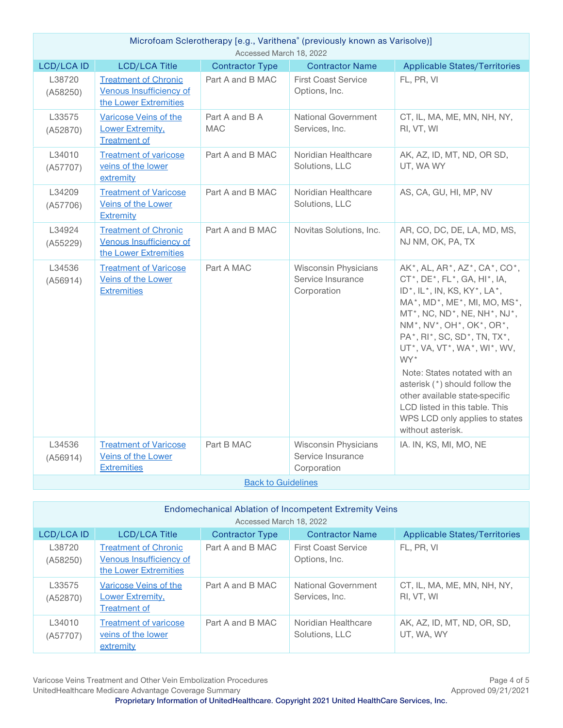| Microfoam Sclerotherapy [e.g., Varithena <sup>®</sup> (previously known as Varisolve)]<br>Accessed March 18, 2022 |                                                                                 |                              |                                                                 |                                                                                                                                                                                                                                                                                                                                                                                                                                                                                                                                        |
|-------------------------------------------------------------------------------------------------------------------|---------------------------------------------------------------------------------|------------------------------|-----------------------------------------------------------------|----------------------------------------------------------------------------------------------------------------------------------------------------------------------------------------------------------------------------------------------------------------------------------------------------------------------------------------------------------------------------------------------------------------------------------------------------------------------------------------------------------------------------------------|
| <b>LCD/LCA ID</b>                                                                                                 | <b>LCD/LCA Title</b>                                                            | <b>Contractor Type</b>       | <b>Contractor Name</b>                                          | <b>Applicable States/Territories</b>                                                                                                                                                                                                                                                                                                                                                                                                                                                                                                   |
| L38720<br>(A58250)                                                                                                | <b>Treatment of Chronic</b><br>Venous Insufficiency of<br>the Lower Extremities | Part A and B MAC             | <b>First Coast Service</b><br>Options, Inc.                     | FL, PR, VI                                                                                                                                                                                                                                                                                                                                                                                                                                                                                                                             |
| L33575<br>(A52870)                                                                                                | Varicose Veins of the<br>Lower Extremity,<br><b>Treatment of</b>                | Part A and B A<br><b>MAC</b> | National Government<br>Services, Inc.                           | CT, IL, MA, ME, MN, NH, NY,<br>RI, VT, WI                                                                                                                                                                                                                                                                                                                                                                                                                                                                                              |
| L34010<br>(A57707)                                                                                                | <b>Treatment of varicose</b><br>veins of the lower<br>extremity                 | Part A and B MAC             | Noridian Healthcare<br>Solutions, LLC                           | AK, AZ, ID, MT, ND, OR SD,<br>UT, WA WY                                                                                                                                                                                                                                                                                                                                                                                                                                                                                                |
| L34209<br>(A57706)                                                                                                | <b>Treatment of Varicose</b><br><b>Veins of the Lower</b><br>Extremity          | Part A and B MAC             | Noridian Healthcare<br>Solutions, LLC                           | AS, CA, GU, HI, MP, NV                                                                                                                                                                                                                                                                                                                                                                                                                                                                                                                 |
| L34924<br>(A55229)                                                                                                | <b>Treatment of Chronic</b><br>Venous Insufficiency of<br>the Lower Extremities | Part A and B MAC             | Novitas Solutions, Inc.                                         | AR, CO, DC, DE, LA, MD, MS,<br>NJ NM, OK, PA, TX                                                                                                                                                                                                                                                                                                                                                                                                                                                                                       |
| L34536<br>(A56914)                                                                                                | <b>Treatment of Varicose</b><br>Veins of the Lower<br><b>Extremities</b>        | Part A MAC                   | <b>Wisconsin Physicians</b><br>Service Insurance<br>Corporation | AK*, AL, AR*, AZ*, CA*, CO*,<br>CT*, DE*, FL*, GA, HI*, IA,<br>$ID^*$ , $IL^*$ , $IN$ , KS, KY <sup>*</sup> , LA <sup>*</sup> ,<br>MA*, MD*, ME*, MI, MO, MS*,<br>$MT^*$ , NC, ND <sup>*</sup> , NE, NH <sup>*</sup> , NJ <sup>*</sup> ,<br>NM*, NV*, OH*, OK*, OR*,<br>PA*, RI*, SC, SD*, TN, TX*,<br>UT*, VA, VT*, WA*, WI*, WV,<br>WY*<br>Note: States notated with an<br>asterisk (*) should follow the<br>other available state-specific<br>LCD listed in this table. This<br>WPS LCD only applies to states<br>without asterisk. |
| L34536                                                                                                            | <b>Treatment of Varicose</b>                                                    | Part B MAC                   | Wisconsin Physicians                                            | IA. IN, KS, MI, MO, NE                                                                                                                                                                                                                                                                                                                                                                                                                                                                                                                 |
| (A56914)                                                                                                          | Veins of the Lower<br><b>Extremities</b>                                        |                              | Service Insurance<br>Corporation                                |                                                                                                                                                                                                                                                                                                                                                                                                                                                                                                                                        |
| <b>Back to Guidelines</b>                                                                                         |                                                                                 |                              |                                                                 |                                                                                                                                                                                                                                                                                                                                                                                                                                                                                                                                        |

<span id="page-3-0"></span>

| <b>Endomechanical Ablation of Incompetent Extremity Veins</b><br>Accessed March 18, 2022 |                                                                                 |                        |                                             |                                           |
|------------------------------------------------------------------------------------------|---------------------------------------------------------------------------------|------------------------|---------------------------------------------|-------------------------------------------|
| <b>LCD/LCA ID</b>                                                                        | <b>LCD/LCA Title</b>                                                            | <b>Contractor Type</b> | <b>Contractor Name</b>                      | <b>Applicable States/Territories</b>      |
| L38720<br>(A58250)                                                                       | <b>Treatment of Chronic</b><br>Venous Insufficiency of<br>the Lower Extremities | Part A and B MAC       | <b>First Coast Service</b><br>Options, Inc. | FL. PR. VI                                |
| L33575<br>(A52870)                                                                       | Varicose Veins of the<br>Lower Extremity,<br><b>Treatment of</b>                | Part A and B MAC       | National Government<br>Services, Inc.       | CT, IL, MA, ME, MN, NH, NY,<br>RI, VT, WI |
| L34010<br>(A57707)                                                                       | <b>Treatment of varicose</b><br>veins of the lower<br>extremity                 | Part A and B MAC       | Noridian Healthcare<br>Solutions, LLC       | AK, AZ, ID, MT, ND, OR, SD,<br>UT, WA, WY |

Varicose Veins Treatment and Other Vein Embolization Procedures<br>
UnitedHealthcare Medicare Advantage Coverage Summary<br>
Approved 09/21/2021 UnitedHealthcare Medicare Advantage Coverage Summary **Proprietary Information of UnitedHealthcare. Copyright 2021 United HealthCare Services, Inc.**